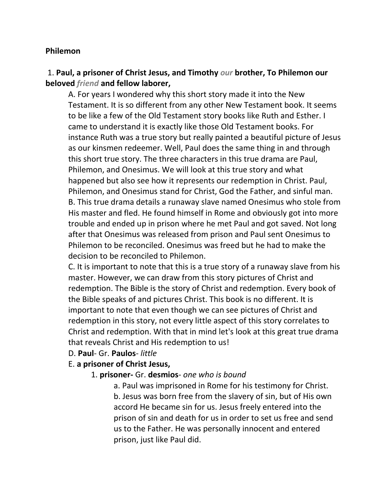#### **Philemon**

#### 1. **Paul, a prisoner of Christ Jesus, and Timothy** *our* **brother, To Philemon our beloved** *friend* **and fellow laborer,**

A. For years I wondered why this short story made it into the New Testament. It is so different from any other New Testament book. It seems to be like a few of the Old Testament story books like Ruth and Esther. I came to understand it is exactly like those Old Testament books. For instance Ruth was a true story but really painted a beautiful picture of Jesus as our kinsmen redeemer. Well, Paul does the same thing in and through this short true story. The three characters in this true drama are Paul, Philemon, and Onesimus. We will look at this true story and what happened but also see how it represents our redemption in Christ. Paul, Philemon, and Onesimus stand for Christ, God the Father, and sinful man. B. This true drama details a runaway slave named Onesimus who stole from His master and fled. He found himself in Rome and obviously got into more trouble and ended up in prison where he met Paul and got saved. Not long after that Onesimus was released from prison and Paul sent Onesimus to Philemon to be reconciled. Onesimus was freed but he had to make the decision to be reconciled to Philemon.

C. It is important to note that this is a true story of a runaway slave from his master. However, we can draw from this story pictures of Christ and redemption. The Bible is the story of Christ and redemption. Every book of the Bible speaks of and pictures Christ. This book is no different. It is important to note that even though we can see pictures of Christ and redemption in this story, not every little aspect of this story correlates to Christ and redemption. With that in mind let's look at this great true drama that reveals Christ and His redemption to us!

#### D. **Paul**- Gr. **Paulos**- *little*

#### E. **a prisoner of Christ Jesus,**

#### 1. **prisoner-** Gr. **desmios**- *one who is bound*

a. Paul was imprisoned in Rome for his testimony for Christ. b. Jesus was born free from the slavery of sin, but of His own accord He became sin for us. Jesus freely entered into the prison of sin and death for us in order to set us free and send us to the Father. He was personally innocent and entered prison, just like Paul did.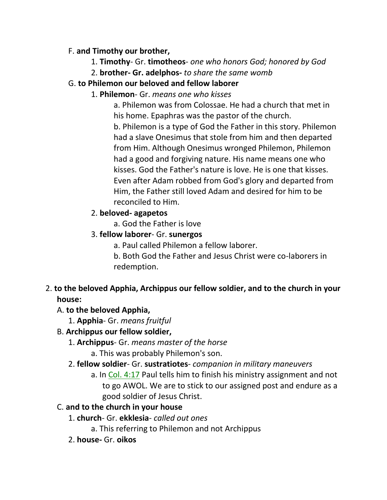#### F. **and Timothy our brother,**

- 1. **Timothy** Gr. **timotheos** *one who honors God; honored by God*
- 2. **brother- Gr. adelphos-** *to share the same womb*

## G. **to Philemon our beloved and fellow laborer**

1. **Philemon**- Gr. *means one who kisses*

a. Philemon was from Colossae. He had a church that met in his home. Epaphras was the pastor of the church. b. Philemon is a type of God the Father in this story. Philemon had a slave Onesimus that stole from him and then departed from Him. Although Onesimus wronged Philemon, Philemon had a good and forgiving nature. His name means one who kisses. God the Father's nature is love. He is one that kisses. Even after Adam robbed from God's glory and departed from Him, the Father still loved Adam and desired for him to be reconciled to Him.

# 2. **beloved- agapetos**

- a. God the Father is love
- 3. **fellow laborer** Gr. **sunergos**
	- a. Paul called Philemon a fellow laborer.
	- b. Both God the Father and Jesus Christ were co-laborers in redemption.
- 2. **to the beloved Apphia, Archippus our fellow soldier, and to the church in your house:**

# A. **to the beloved Apphia,**

1. **Apphia**- Gr. *means fruitful*

# B. **Archippus our fellow soldier,**

- 1. **Archippus** Gr. *means master of the horse*
	- a. This was probably Philemon's son.
- 2. **fellow soldier** Gr. **sustratiotes** *companion in military maneuvers*
	- a. In Col. 4:17 Paul tells him to finish his ministry assignment and not to go AWOL. We are to stick to our assigned post and endure as a good soldier of Jesus Christ.

# C. **and to the church in your house**

- 1. **church** Gr. **ekklesia** *called out ones*
	- a. This referring to Philemon and not Archippus
- 2. **house-** Gr. **oikos**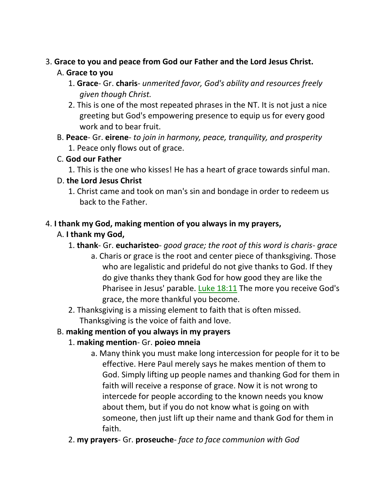#### 3. **Grace to you and peace from God our Father and the Lord Jesus Christ.** A. **Grace to you**

- 1. **Grace** Gr. **charis** *unmerited favor, God's ability and resources freely given though Christ.*
- 2. This is one of the most repeated phrases in the NT. It is not just a nice greeting but God's empowering presence to equip us for every good work and to bear fruit.
- B. **Peace** Gr. **eirene** *to join in harmony, peace, tranquility, and prosperity* 1. Peace only flows out of grace.

## C. **God our Father**

1. This is the one who kisses! He has a heart of grace towards sinful man.

## D. **the Lord Jesus Christ**

1. Christ came and took on man's sin and bondage in order to redeem us back to the Father.

## 4. **I thank my God, making mention of you always in my prayers,**

# A. **I thank my God,**

- 1. **thank** Gr. **eucharisteo** *good grace; the root of this word is charis- grace*
	- a. Charis or grace is the root and center piece of thanksgiving. Those who are legalistic and prideful do not give thanks to God. If they do give thanks they thank God for how good they are like the Pharisee in Jesus' parable. Luke 18:11 The more you receive God's grace, the more thankful you become.
- 2. Thanksgiving is a missing element to faith that is often missed. Thanksgiving is the voice of faith and love.

# B. **making mention of you always in my prayers**

# 1. **making mention**- Gr. **poieo mneia**

- a. Many think you must make long intercession for people for it to be effective. Here Paul merely says he makes mention of them to God. Simply lifting up people names and thanking God for them in faith will receive a response of grace. Now it is not wrong to intercede for people according to the known needs you know about them, but if you do not know what is going on with someone, then just lift up their name and thank God for them in faith.
- 2. **my prayers** Gr. **proseuche** *face to face communion with God*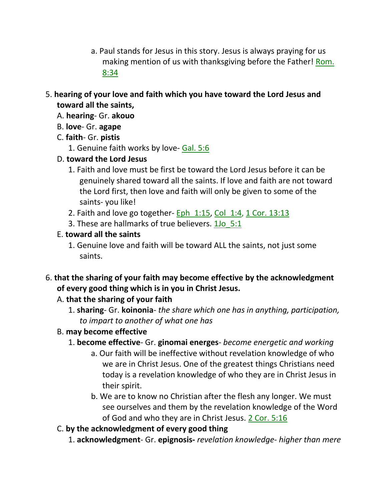- a. Paul stands for Jesus in this story. Jesus is always praying for us making mention of us with thanksgiving before the Father! Rom. 8:34
- 5. **hearing of your love and faith which you have toward the Lord Jesus and toward all the saints,**
	- A. **hearing** Gr. **akouo**
	- B. **love** Gr. **agape**
	- C. **faith** Gr. **pistis**
		- 1. Genuine faith works by love- Gal. 5:6
	- D. **toward the Lord Jesus**
		- 1. Faith and love must be first be toward the Lord Jesus before it can be genuinely shared toward all the saints. If love and faith are not toward the Lord first, then love and faith will only be given to some of the saints- you like!
		- 2. Faith and love go together- Eph  $1:15$ , Col  $1:4$ , 1 Cor. 13:13
		- 3. These are hallmarks of true believers. 1Jo\_5:1
	- E. **toward all the saints**
		- 1. Genuine love and faith will be toward ALL the saints, not just some saints.
- 6. **that the sharing of your faith may become effective by the acknowledgment of every good thing which is in you in Christ Jesus.**

# A. **that the sharing of your faith**

1. **sharing**- Gr. **koinonia**- *the share which one has in anything, participation, to impart to another of what one has*

# B. **may become effective**

- 1. **become effective** Gr. **ginomai energes** *become energetic and working*
	- a. Our faith will be ineffective without revelation knowledge of who we are in Christ Jesus. One of the greatest things Christians need today is a revelation knowledge of who they are in Christ Jesus in their spirit.
	- b. We are to know no Christian after the flesh any longer. We must see ourselves and them by the revelation knowledge of the Word of God and who they are in Christ Jesus. 2 Cor. 5:16
- C. **by the acknowledgment of every good thing**
	- 1. **acknowledgment** Gr. **epignosis-** *revelation knowledge- higher than mere*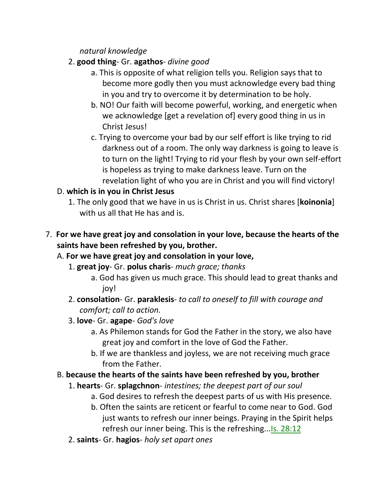*natural knowledge*

- 2. **good thing** Gr. **agathos** *divine good*
	- a. This is opposite of what religion tells you. Religion says that to become more godly then you must acknowledge every bad thing in you and try to overcome it by determination to be holy.
	- b. NO! Our faith will become powerful, working, and energetic when we acknowledge [get a revelation of] every good thing in us in Christ Jesus!
	- c. Trying to overcome your bad by our self effort is like trying to rid darkness out of a room. The only way darkness is going to leave is to turn on the light! Trying to rid your flesh by your own self-effort is hopeless as trying to make darkness leave. Turn on the revelation light of who you are in Christ and you will find victory!

# D. **which is in you in Christ Jesus**

- 1. The only good that we have in us is Christ in us. Christ shares [**koinonia**] with us all that He has and is.
- 7. **For we have great joy and consolation in your love, because the hearts of the saints have been refreshed by you, brother.**

# A. **For we have great joy and consolation in your love,**

- 1. **great joy** Gr. **polus charis** *much grace; thanks*
	- a. God has given us much grace. This should lead to great thanks and joy!
- 2. **consolation** Gr. **paraklesis** *to call to oneself to fill with courage and comfort; call to action.*
- 3. **love** Gr. **agape** *God's love*
	- a. As Philemon stands for God the Father in the story, we also have great joy and comfort in the love of God the Father.
	- b. If we are thankless and joyless, we are not receiving much grace from the Father.

# B. **because the hearts of the saints have been refreshed by you, brother**

- 1. **hearts** Gr. **splagchnon** *intestines; the deepest part of our soul*
	- a. God desires to refresh the deepest parts of us with His presence.
	- b. Often the saints are reticent or fearful to come near to God. God just wants to refresh our inner beings. Praying in the Spirit helps refresh our inner being. This is the refreshing...Is. 28:12
- 2. **saints** Gr. **hagios** *holy set apart ones*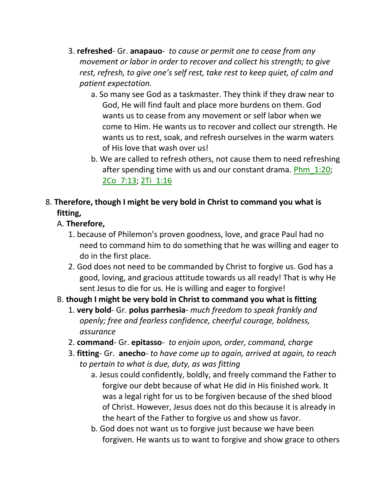- 3. **refreshed** Gr. **anapauo** *to cause or permit one to cease from any movement or labor in order to recover and collect his strength; to give rest, refresh, to give one's self rest, take rest to keep quiet, of calm and patient expectation.*
	- a. So many see God as a taskmaster. They think if they draw near to God, He will find fault and place more burdens on them. God wants us to cease from any movement or self labor when we come to Him. He wants us to recover and collect our strength. He wants us to rest, soak, and refresh ourselves in the warm waters of His love that wash over us!
	- b. We are called to refresh others, not cause them to need refreshing after spending time with us and our constant drama. Phm\_1:20; 2Co\_7:13; 2Ti\_1:16

# 8. **Therefore, though I might be very bold in Christ to command you what is fitting,**

## A. **Therefore,**

- 1. because of Philemon's proven goodness, love, and grace Paul had no need to command him to do something that he was willing and eager to do in the first place.
- 2. God does not need to be commanded by Christ to forgive us. God has a good, loving, and gracious attitude towards us all ready! That is why He sent Jesus to die for us. He is willing and eager to forgive!

# B. **though I might be very bold in Christ to command you what is fitting**

- 1. **very bold** Gr. **polus parrhesia** *much freedom to speak frankly and openly; free and fearless confidence, cheerful courage, boldness, assurance*
- 2. **command** Gr. **epitasso** *to enjoin upon, order, command, charge*
- 3. **fitting** Gr. **anecho***- to have come up to again, arrived at again, to reach to pertain to what is due, duty, as was fitting*
	- a. Jesus could confidently, boldly, and freely command the Father to forgive our debt because of what He did in His finished work. It was a legal right for us to be forgiven because of the shed blood of Christ. However, Jesus does not do this because it is already in the heart of the Father to forgive us and show us favor.
	- b. God does not want us to forgive just because we have been forgiven. He wants us to want to forgive and show grace to others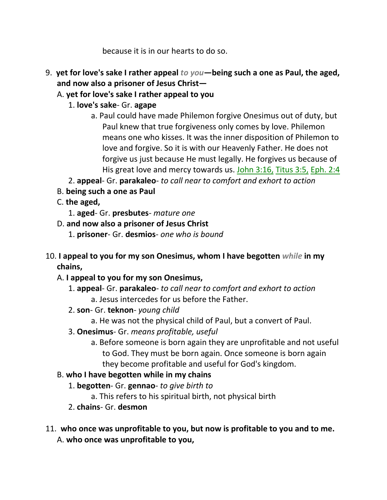because it is in our hearts to do so.

- 9. **yet for love's sake I rather appeal** *to you***—being such a one as Paul, the aged, and now also a prisoner of Jesus Christ—**
	- A. **yet for love's sake I rather appeal to you**
		- 1. **love's sake** Gr. **agape**
			- a. Paul could have made Philemon forgive Onesimus out of duty, but Paul knew that true forgiveness only comes by love. Philemon means one who kisses. It was the inner disposition of Philemon to love and forgive. So it is with our Heavenly Father. He does not forgive us just because He must legally. He forgives us because of His great love and mercy towards us. John 3:16, Titus 3:5, Eph. 2:4
		- 2. **appeal** Gr. **parakaleo** *to call near to comfort and exhort to action*
	- B. **being such a one as Paul**
	- C. **the aged,**
		- 1. **aged** Gr. **presbutes** *mature one*
	- D. **and now also a prisoner of Jesus Christ**
		- 1. **prisoner** Gr. **desmios** *one who is bound*
- 10. **I appeal to you for my son Onesimus, whom I have begotten** *while* **in my chains,** 
	- A. **I appeal to you for my son Onesimus,**
		- 1. **appeal** Gr. **parakaleo** *to call near to comfort and exhort to action* a. Jesus intercedes for us before the Father.
		- 2. **son** Gr. **teknon** *young child*
			- a. He was not the physical child of Paul, but a convert of Paul.
		- 3. **Onesimus** Gr. *means profitable, useful*
			- a. Before someone is born again they are unprofitable and not useful to God. They must be born again. Once someone is born again they become profitable and useful for God's kingdom.

## B. **who I have begotten while in my chains**

- 1. **begotten** Gr. **gennao** *to give birth to*
	- a. This refers to his spiritual birth, not physical birth
- 2. **chains** Gr. **desmon**
- 11. **who once was unprofitable to you, but now is profitable to you and to me.**  A. **who once was unprofitable to you,**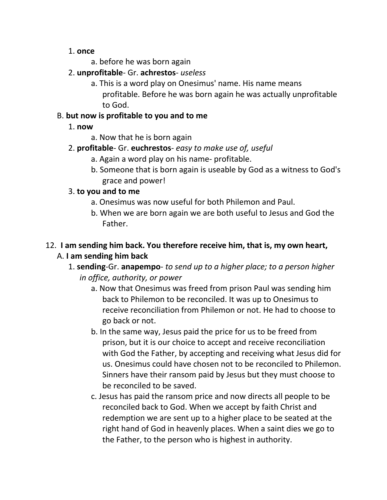#### 1. **once**

- a. before he was born again
- 2. **unprofitable** Gr. **achrestos** *useless*
	- a. This is a word play on Onesimus' name. His name means profitable. Before he was born again he was actually unprofitable to God.

## B. **but now is profitable to you and to me**

- 1. **now**
	- a. Now that he is born again
- 2. **profitable** Gr. **euchrestos** *easy to make use of, useful*
	- a. Again a word play on his name- profitable.
	- b. Someone that is born again is useable by God as a witness to God's grace and power!

# 3. **to you and to me**

- a. Onesimus was now useful for both Philemon and Paul.
- b. When we are born again we are both useful to Jesus and God the Father.

# 12. **I am sending him back. You therefore receive him, that is, my own heart,** A. **I am sending him back**

- 1. **sending**-Gr. **anapempo** *to send up to a higher place; to a person higher in office, authority, or power*
	- a. Now that Onesimus was freed from prison Paul was sending him back to Philemon to be reconciled. It was up to Onesimus to receive reconciliation from Philemon or not. He had to choose to go back or not.
	- b. In the same way, Jesus paid the price for us to be freed from prison, but it is our choice to accept and receive reconciliation with God the Father, by accepting and receiving what Jesus did for us. Onesimus could have chosen not to be reconciled to Philemon. Sinners have their ransom paid by Jesus but they must choose to be reconciled to be saved.
	- c. Jesus has paid the ransom price and now directs all people to be reconciled back to God. When we accept by faith Christ and redemption we are sent up to a higher place to be seated at the right hand of God in heavenly places. When a saint dies we go to the Father, to the person who is highest in authority.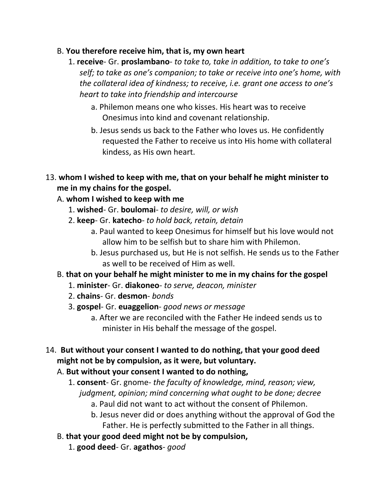#### B. **You therefore receive him, that is, my own heart**

- 1. **receive** Gr. **proslambano** *to take to, take in addition, to take to one's self; to take as one's companion; to take or receive into one's home, with the collateral idea of kindness; to receive, i.e. grant one access to one's heart to take into friendship and intercourse*
	- a. Philemon means one who kisses. His heart was to receive Onesimus into kind and covenant relationship.
	- b. Jesus sends us back to the Father who loves us. He confidently requested the Father to receive us into His home with collateral kindess, as His own heart.
- 13. **whom I wished to keep with me, that on your behalf he might minister to me in my chains for the gospel.**

## A. **whom I wished to keep with me**

- 1. **wished** Gr. **boulomai** *to desire, will, or wish*
- 2. **keep** Gr. **katecho** *to hold back, retain, detain*
	- a. Paul wanted to keep Onesimus for himself but his love would not allow him to be selfish but to share him with Philemon.
	- b. Jesus purchased us, but He is not selfish. He sends us to the Father as well to be received of Him as well.

# B. **that on your behalf he might minister to me in my chains for the gospel**

- 1. **minister** Gr. **diakoneo** *to serve, deacon, minister*
- 2. **chains** Gr. **desmon** *bonds*
- 3. **gospel** Gr. **euaggelion** *good news or message*
	- a. After we are reconciled with the Father He indeed sends us to minister in His behalf the message of the gospel.
- 14. **But without your consent I wanted to do nothing, that your good deed might not be by compulsion, as it were, but voluntary.**

# A. **But without your consent I wanted to do nothing,**

- 1. **consent** Gr. gnome- *the faculty of knowledge, mind, reason; view, judgment, opinion; mind concerning what ought to be done; decree*
	- a. Paul did not want to act without the consent of Philemon.
	- b. Jesus never did or does anything without the approval of God the Father. He is perfectly submitted to the Father in all things.
- B. **that your good deed might not be by compulsion,**
	- 1. **good deed** Gr. **agathos** *good*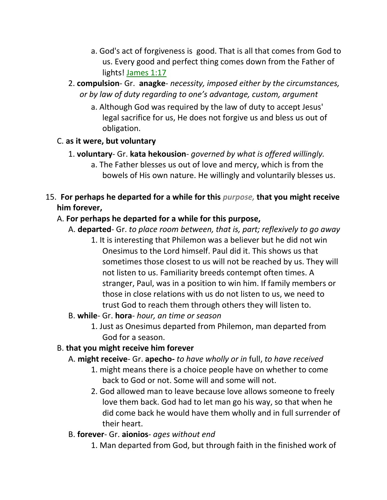- a. God's act of forgiveness is good. That is all that comes from God to us. Every good and perfect thing comes down from the Father of lights! James 1:17
- 2. **compulsion** Gr. **anagke** *necessity, imposed either by the circumstances, or by law of duty regarding to one's advantage, custom, argument*
	- a. Although God was required by the law of duty to accept Jesus' legal sacrifice for us, He does not forgive us and bless us out of obligation.

#### C. **as it were, but voluntary**

- 1. **voluntary** Gr. **kata hekousion** *governed by what is offered willingly.*
	- a. The Father blesses us out of love and mercy, which is from the bowels of His own nature. He willingly and voluntarily blesses us.
- 15. **For perhaps he departed for a while for this** *purpose,* **that you might receive him forever,**

#### A. **For perhaps he departed for a while for this purpose,**

- A. **departed** Gr. *to place room between, that is, part; reflexively to go away*
	- 1. It is interesting that Philemon was a believer but he did not win Onesimus to the Lord himself. Paul did it. This shows us that sometimes those closest to us will not be reached by us. They will not listen to us. Familiarity breeds contempt often times. A stranger, Paul, was in a position to win him. If family members or those in close relations with us do not listen to us, we need to trust God to reach them through others they will listen to.
- B. **while** Gr. **hora** *hour, an time or season*
	- 1. Just as Onesimus departed from Philemon, man departed from God for a season.

## B. **that you might receive him forever**

- A. **might receive** Gr. **apecho-** *to have wholly or in* full, *to have received*
	- 1. might means there is a choice people have on whether to come back to God or not. Some will and some will not.
	- 2. God allowed man to leave because love allows someone to freely love them back. God had to let man go his way, so that when he did come back he would have them wholly and in full surrender of their heart.
- B. **forever** Gr. **aionios** *ages without end*
	- 1. Man departed from God, but through faith in the finished work of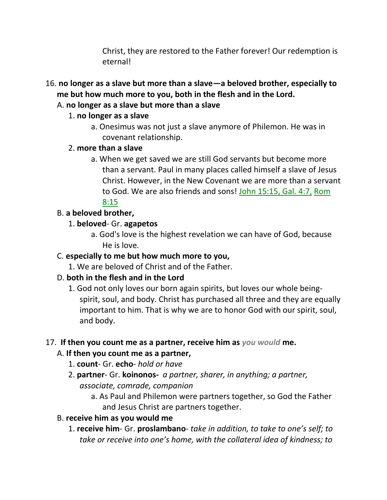Christ, they are restored to the Father forever! Our redemption is eternal!

- 16. **no longer as a slave but more than a slave—a beloved brother, especially to me but how much more to you, both in the flesh and in the Lord.** 
	- A. **no longer as a slave but more than a slave**

#### 1. **no longer as a slave**

a. Onesimus was not just a slave anymore of Philemon. He was in covenant relationship.

#### 2. **more than a slave**

a. When we get saved we are still God servants but become more than a servant. Paul in many places called himself a slave of Jesus Christ. However, in the New Covenant we are more than a servant to God. We are also friends and sons! John 15:15, Gal. 4:7, Rom 8:15

#### B. **a beloved brother,**

#### 1. **beloved**- Gr. **agapetos**

a. God's love is the highest revelation we can have of God, because He is love.

## C. **especially to me but how much more to you,**

1. We are beloved of Christ and of the Father.

# D. **both in the flesh and in the Lord**

1. God not only loves our born again spirits, but loves our whole beingspirit, soul, and body. Christ has purchased all three and they are equally important to him. That is why we are to honor God with our spirit, soul, and body.

## 17. **If then you count me as a partner, receive him as** *you would* **me.**

## A. **If then you count me as a partner,**

- 1. **count** Gr. **echo** *hold or have*
- 2. **partner** Gr. **koinonos-** *a partner, sharer, in anything; a partner, associate, comrade, companion*
	- a. As Paul and Philemon were partners together, so God the Father and Jesus Christ are partners together.

## B. **receive him as you would me**

1. **receive him**- Gr. **proslambano**- *take in addition, to take to one's self; to take or receive into one's home, with the collateral idea of kindness; to*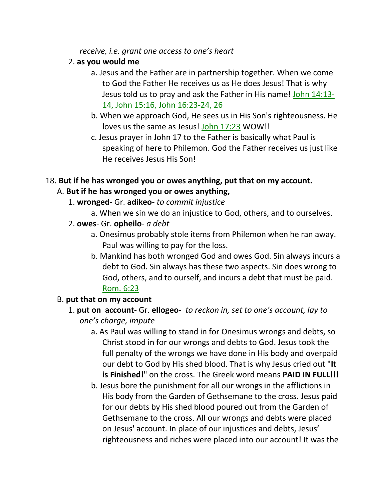*receive, i.e. grant one access to one's heart*

#### 2. **as you would me**

- a. Jesus and the Father are in partnership together. When we come to God the Father He receives us as He does Jesus! That is why Jesus told us to pray and ask the Father in His name! John 14:13- 14, John 15:16, John 16:23-24, 26
- b. When we approach God, He sees us in His Son's righteousness. He loves us the same as Jesus! John 17:23 WOW!!
- c. Jesus prayer in John 17 to the Father is basically what Paul is speaking of here to Philemon. God the Father receives us just like He receives Jesus His Son!

## 18. **But if he has wronged you or owes anything, put that on my account.**

## A. **But if he has wronged you or owes anything,**

- 1. **wronged** Gr. **adikeo** *to commit injustice*
	- a. When we sin we do an injustice to God, others, and to ourselves.
- 2. **owes** Gr. **opheilo** *a debt*
	- a. Onesimus probably stole items from Philemon when he ran away. Paul was willing to pay for the loss.
	- b. Mankind has both wronged God and owes God. Sin always incurs a debt to God. Sin always has these two aspects. Sin does wrong to God, others, and to ourself, and incurs a debt that must be paid. Rom. 6:23

## B. **put that on my account**

- 1. **put on account** Gr. **ellogeo-** *to reckon in, set to one's account, lay to one's charge, impute*
	- a. As Paul was willing to stand in for Onesimus wrongs and debts, so Christ stood in for our wrongs and debts to God. Jesus took the full penalty of the wrongs we have done in His body and overpaid our debt to God by His shed blood. That is why Jesus cried out "**It is Finished!**" on the cross. The Greek word means **PAID IN FULL!!!**
	- b. Jesus bore the punishment for all our wrongs in the afflictions in His body from the Garden of Gethsemane to the cross. Jesus paid for our debts by His shed blood poured out from the Garden of Gethsemane to the cross. All our wrongs and debts were placed on Jesus' account. In place of our injustices and debts, Jesus' righteousness and riches were placed into our account! It was the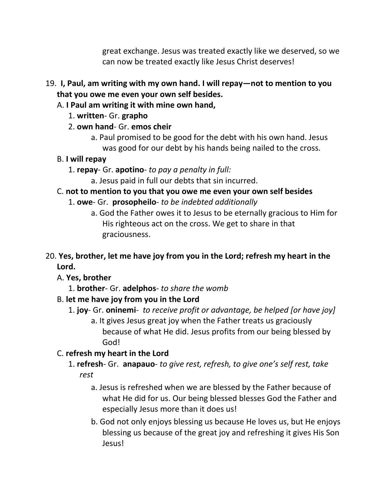great exchange. Jesus was treated exactly like we deserved, so we can now be treated exactly like Jesus Christ deserves!

- 19. **I, Paul, am writing with my own hand. I will repay—not to mention to you that you owe me even your own self besides.** 
	- A. **I Paul am writing it with mine own hand,**
		- 1. **written** Gr. **grapho**
		- 2. **own hand** Gr. **emos cheir**
			- a. Paul promised to be good for the debt with his own hand. Jesus was good for our debt by his hands being nailed to the cross.
	- B. **I will repay**
		- 1. **repay** Gr. **apotino** *to pay a penalty in full:*
			- a. Jesus paid in full our debts that sin incurred.

# C. **not to mention to you that you owe me even your own self besides**

- 1. **owe** Gr. **prosopheilo** *to be indebted additionally*
	- a. God the Father owes it to Jesus to be eternally gracious to Him for His righteous act on the cross. We get to share in that graciousness.
- 20. **Yes, brother, let me have joy from you in the Lord; refresh my heart in the Lord.** 
	- A. **Yes, brother**
		- 1. **brother** Gr. **adelphos** *to share the womb*
	- B. **let me have joy from you in the Lord**
		- 1. **joy** Gr. **oninemi** *to receive profit or advantage, be helped [or have joy]* a. It gives Jesus great joy when the Father treats us graciously because of what He did. Jesus profits from our being blessed by God!
	- C. **refresh my heart in the Lord**
		- 1. **refresh** Gr. **anapauo** *to give rest, refresh, to give one's self rest, take rest*
			- a. Jesus is refreshed when we are blessed by the Father because of what He did for us. Our being blessed blesses God the Father and especially Jesus more than it does us!
			- b. God not only enjoys blessing us because He loves us, but He enjoys blessing us because of the great joy and refreshing it gives His Son Jesus!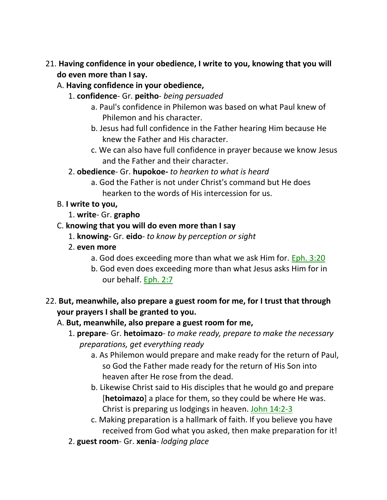- 21. **Having confidence in your obedience, I write to you, knowing that you will do even more than I say.** 
	- A. **Having confidence in your obedience,**
		- 1. **confidence** Gr. **peitho** *being persuaded*
			- a. Paul's confidence in Philemon was based on what Paul knew of Philemon and his character.
			- b. Jesus had full confidence in the Father hearing Him because He knew the Father and His character.
			- c. We can also have full confidence in prayer because we know Jesus and the Father and their character.
		- 2. **obedience** Gr. **hupokoe***- to hearken to what is heard*
			- a. God the Father is not under Christ's command but He does hearken to the words of His intercession for us.
	- B. **I write to you,**
		- 1. **write** Gr. **grapho**
	- C. **knowing that you will do even more than I say**
		- 1. **knowing-** Gr. **eido** *to know by perception or sight*
		- 2. **even more**
			- a. God does exceeding more than what we ask Him for. Eph. 3:20
			- b. God even does exceeding more than what Jesus asks Him for in our behalf. Eph. 2:7
- 22. **But, meanwhile, also prepare a guest room for me, for I trust that through your prayers I shall be granted to you.** 
	- A. **But, meanwhile, also prepare a guest room for me,**
		- 1. **prepare** Gr. **hetoimazo** *to make ready, prepare to make the necessary preparations, get everything ready*
			- a. As Philemon would prepare and make ready for the return of Paul, so God the Father made ready for the return of His Son into heaven after He rose from the dead.
			- b. Likewise Christ said to His disciples that he would go and prepare [**hetoimazo**] a place for them, so they could be where He was. Christ is preparing us lodgings in heaven. John 14:2-3
			- c. Making preparation is a hallmark of faith. If you believe you have received from God what you asked, then make preparation for it!
		- 2. **guest room** Gr. **xenia** *lodging place*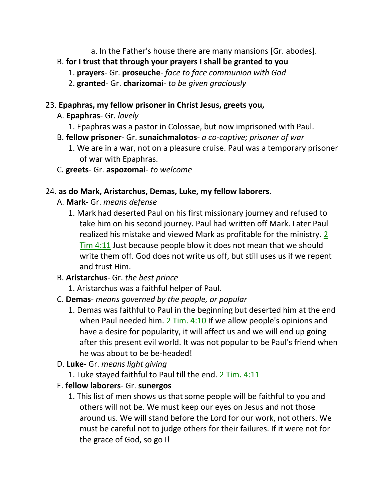a. In the Father's house there are many mansions [Gr. abodes].

# B. **for I trust that through your prayers I shall be granted to you**

- 1. **prayers** Gr. **proseuche** *face to face communion with God*
- 2. **granted** Gr. **charizomai** *to be given graciously*

#### 23. **Epaphras, my fellow prisoner in Christ Jesus, greets you,**

## A. **Epaphras**- Gr. *lovely*

- 1. Epaphras was a pastor in Colossae, but now imprisoned with Paul.
- B. **fellow prisoner** Gr. **sunaichmalotos** *a co-captive; prisoner of war*
	- 1. We are in a war, not on a pleasure cruise. Paul was a temporary prisoner of war with Epaphras.
- C. **greets** Gr. **aspozomai** *to welcome*

## 24. **as do Mark, Aristarchus, Demas, Luke, my fellow laborers.**

- A. **Mark** Gr. *means defense*
	- 1. Mark had deserted Paul on his first missionary journey and refused to take him on his second journey. Paul had written off Mark. Later Paul realized his mistake and viewed Mark as profitable for the ministry. 2 Tim 4:11 Just because people blow it does not mean that we should write them off. God does not write us off, but still uses us if we repent and trust Him.
- B. **Aristarchus** Gr. *the best prince*
	- 1. Aristarchus was a faithful helper of Paul.

## C. **Demas**- *means governed by the people, or popular*

- 1. Demas was faithful to Paul in the beginning but deserted him at the end when Paul needed him. 2 Tim. 4:10 If we allow people's opinions and have a desire for popularity, it will affect us and we will end up going after this present evil world. It was not popular to be Paul's friend when he was about to be be-headed!
- D. **Luke** Gr. *means light giving*
	- 1. Luke stayed faithful to Paul till the end. 2 Tim. 4:11

## E. **fellow laborers**- Gr. **sunergos**

1. This list of men shows us that some people will be faithful to you and others will not be. We must keep our eyes on Jesus and not those around us. We will stand before the Lord for our work, not others. We must be careful not to judge others for their failures. If it were not for the grace of God, so go I!